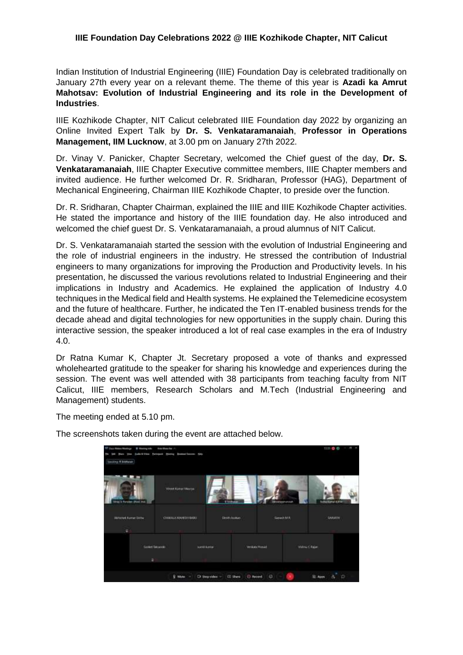## **IIIE Foundation Day Celebrations 2022 @ IIIE Kozhikode Chapter, NIT Calicut**

Indian Institution of Industrial Engineering (IIIE) Foundation Day is celebrated traditionally on January 27th every year on a relevant theme. The theme of this year is **Azadi ka Amrut Mahotsav: Evolution of Industrial Engineering and its role in the Development of Industries**.

IIIE Kozhikode Chapter, NIT Calicut celebrated IIIE Foundation day 2022 by organizing an Online Invited Expert Talk by **Dr. S. Venkataramanaiah**, **Professor in Operations Management, IIM Lucknow**, at 3.00 pm on January 27th 2022.

Dr. Vinay V. Panicker, Chapter Secretary, welcomed the Chief guest of the day, **Dr. S. Venkataramanaiah**, IIIE Chapter Executive committee members, IIIE Chapter members and invited audience. He further welcomed Dr. R. Sridharan, Professor (HAG), Department of Mechanical Engineering, Chairman IIIE Kozhikode Chapter, to preside over the function.

Dr. R. Sridharan, Chapter Chairman, explained the IIIE and IIIE Kozhikode Chapter activities. He stated the importance and history of the IIIE foundation day. He also introduced and welcomed the chief guest Dr. S. Venkataramanaiah, a proud alumnus of NIT Calicut.

Dr. S. Venkataramanaiah started the session with the evolution of Industrial Engineering and the role of industrial engineers in the industry. He stressed the contribution of Industrial engineers to many organizations for improving the Production and Productivity levels. In his presentation, he discussed the various revolutions related to Industrial Engineering and their implications in Industry and Academics. He explained the application of Industry 4.0 techniques in the Medical field and Health systems. He explained the Telemedicine ecosystem and the future of healthcare. Further, he indicated the Ten IT-enabled business trends for the decade ahead and digital technologies for new opportunities in the supply chain. During this interactive session, the speaker introduced a lot of real case examples in the era of Industry 4.0.

Dr Ratna Kumar K, Chapter Jt. Secretary proposed a vote of thanks and expressed wholehearted gratitude to the speaker for sharing his knowledge and experiences during the session. The event was well attended with 38 participants from teaching faculty from NIT Calicut, IIIE members, Research Scholars and M.Tech (Industrial Engineering and Management) students.

The meeting ended at 5.10 pm.

| <sup>07</sup> Class William Meetings<br><b>W</b> Manney toda<br>m<br><b>There</b><br><b>Seller</b> | <b>Installments</b> /<br>Suite & Video Detroport Starring Boston Concorn City. |                |                               |           | ı<br>$\ln n$ 0 0           |
|----------------------------------------------------------------------------------------------------|--------------------------------------------------------------------------------|----------------|-------------------------------|-----------|----------------------------|
| <b>Souting ESIsteen</b>                                                                            |                                                                                |                |                               |           |                            |
| he il Finster, (Red. trat.                                                                         | <b>TOYOT Roman Meerys</b><br><b>THE VEHICLE</b>                                | <b>T</b> Small |                               | memoriale | <b>HAKime ESTA</b>         |
| Which Europ Side<br>$\Xi$                                                                          | CHARLA MARSHINKI                                                               |                | Distribution                  | Genet MR  | SAINVIN                    |
| <b>Sankel Service</b><br>$\overline{\mathbf{a}}$                                                   |                                                                                | sund bureau    | Verdota Hondi                 |           | Wallen C-Rajan             |
|                                                                                                    | <b>Q</b> Mide =                                                                | Di Step video  | ia.<br>(i) Record.<br>E Shere |           | ä,<br>D<br><b>CE Apple</b> |

The screenshots taken during the event are attached below.